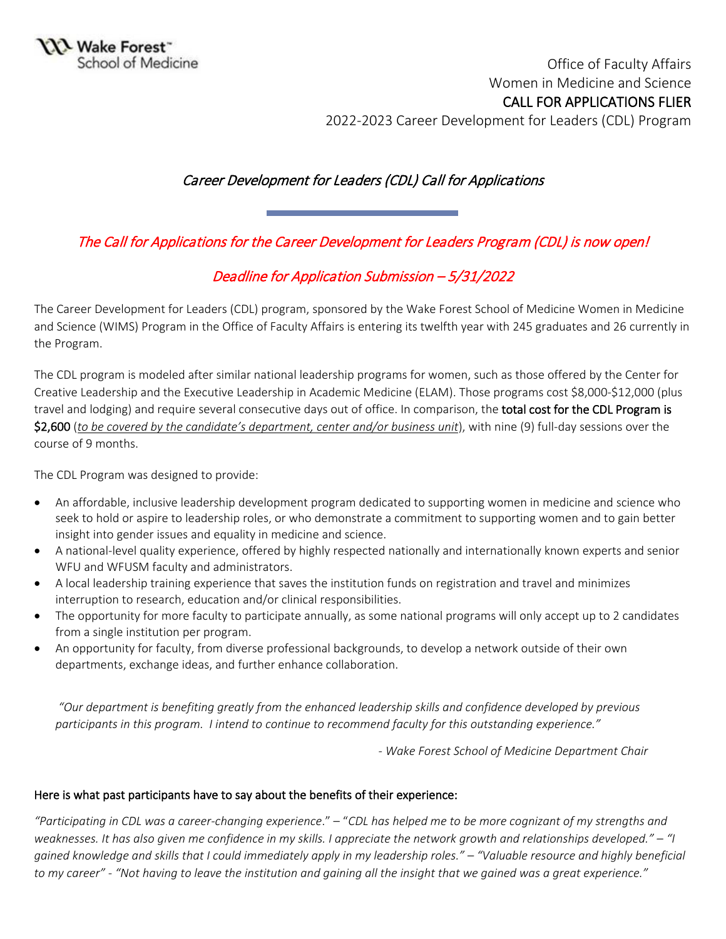Office of Faculty Affairs Women in Medicine and Science CALL FOR APPLICATIONS FLIER 2022-2023 Career Development for Leaders (CDL) Program

## Career Development for Leaders (CDL) Call for Applications

The Call for Applications for the Career Development for Leaders Program (CDL) is now open!

## Deadline for Application Submission – 5/31/2022

The Career Development for Leaders (CDL) program, sponsored by the Wake Forest School of Medicine Women in Medicine and Science (WIMS) Program in the Office of Faculty Affairs is entering its twelfth year with 245 graduates and 26 currently in the Program.

The CDL program is modeled after similar national leadership programs for women, such as those offered by the Center for Creative Leadership and the Executive Leadership in Academic Medicine (ELAM). Those programs cost \$8,000-\$12,000 (plus travel and lodging) and require several consecutive days out of office. In comparison, the **total cost for the CDL Program is** \$2,600 (*to be covered by the candidate's department, center and/or business unit*), with nine (9) full-day sessions over the course of 9 months.

The CDL Program was designed to provide:

- An affordable, inclusive leadership development program dedicated to supporting women in medicine and science who seek to hold or aspire to leadership roles, or who demonstrate a commitment to supporting women and to gain better insight into gender issues and equality in medicine and science.
- A national-level quality experience, offered by highly respected nationally and internationally known experts and senior WFU and WFUSM faculty and administrators.
- A local leadership training experience that saves the institution funds on registration and travel and minimizes interruption to research, education and/or clinical responsibilities.
- The opportunity for more faculty to participate annually, as some national programs will only accept up to 2 candidates from a single institution per program.
- An opportunity for faculty, from diverse professional backgrounds, to develop a network outside of their own departments, exchange ideas, and further enhance collaboration.

*"Our department is benefiting greatly from the enhanced leadership skills and confidence developed by previous participants in this program. I intend to continue to recommend faculty for this outstanding experience."* 

*- Wake Forest School of Medicine Department Chair*

## Here is what past participants have to say about the benefits of their experience:

*"Participating in CDL was a career-changing experience*." – "*CDL has helped me to be more cognizant of my strengths and weaknesses. It has also given me confidence in my skills. I appreciate the network growth and relationships developed." – "I gained knowledge and skills that I could immediately apply in my leadership roles." – "Valuable resource and highly beneficial to my career" - "Not having to leave the institution and gaining all the insight that we gained was a great experience."*